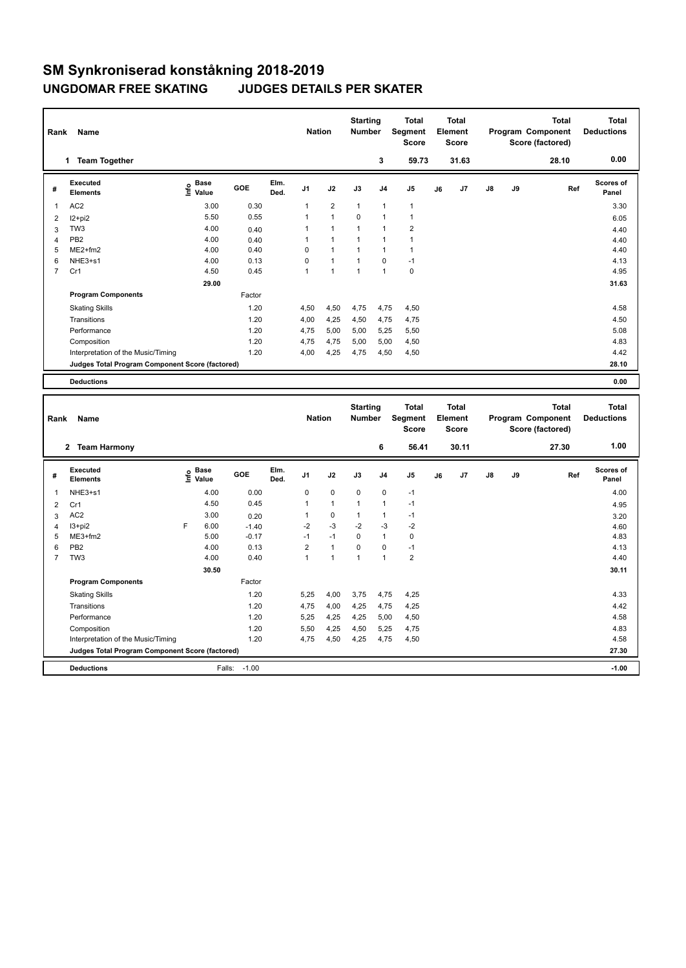## **SM Synkroniserad konståkning 2018-2019 UNGDOMAR FREE SKATING JUDGES DETAILS PER SKATER**

| Rank           | Name                                            |                                  |        |              | <b>Nation</b>  |                | <b>Starting</b><br><b>Number</b> |                | <b>Total</b><br>Segment<br><b>Score</b> |    | <b>Total</b><br>Element<br><b>Score</b> |               |    | <b>Total</b><br>Program Component<br>Score (factored) | <b>Total</b><br><b>Deductions</b> |
|----------------|-------------------------------------------------|----------------------------------|--------|--------------|----------------|----------------|----------------------------------|----------------|-----------------------------------------|----|-----------------------------------------|---------------|----|-------------------------------------------------------|-----------------------------------|
|                | <b>Team Together</b><br>1                       |                                  |        |              |                |                |                                  | 3              | 59.73                                   |    | 31.63                                   |               |    | 28.10                                                 | 0.00                              |
| #              | Executed<br><b>Elements</b>                     | <b>Base</b><br>e Base<br>⊆ Value | GOE    | Elm.<br>Ded. | J <sub>1</sub> | J2             | J3                               | J <sub>4</sub> | J <sub>5</sub>                          | J6 | J <sub>7</sub>                          | $\mathsf{J}8$ | J9 | Ref                                                   | <b>Scores of</b><br>Panel         |
| 1              | AC <sub>2</sub>                                 | 3.00                             | 0.30   |              | 1              | $\overline{2}$ | $\mathbf{1}$                     | $\overline{1}$ | $\mathbf{1}$                            |    |                                         |               |    |                                                       | 3.30                              |
| 2              | $12+pi2$                                        | 5.50                             | 0.55   |              |                | $\overline{1}$ | $\Omega$                         | 1              |                                         |    |                                         |               |    |                                                       | 6.05                              |
| 3              | TW <sub>3</sub>                                 | 4.00                             | 0.40   |              |                | $\overline{1}$ | $\overline{1}$                   | 1              | $\overline{2}$                          |    |                                         |               |    |                                                       | 4.40                              |
| $\overline{4}$ | PB <sub>2</sub>                                 | 4.00                             | 0.40   |              |                | $\overline{1}$ | $\overline{1}$                   | $\overline{1}$ |                                         |    |                                         |               |    |                                                       | 4.40                              |
| 5              | $ME2+fm2$                                       | 4.00                             | 0.40   |              | $\Omega$       | $\overline{1}$ | $\overline{1}$                   | $\overline{1}$ | $\mathbf{1}$                            |    |                                         |               |    |                                                       | 4.40                              |
| 6              | NHE3+s1                                         | 4.00                             | 0.13   |              | 0              | $\mathbf{1}$   | $\overline{1}$                   | $\mathbf 0$    | $-1$                                    |    |                                         |               |    |                                                       | 4.13                              |
| $\overline{7}$ | Cr1                                             | 4.50                             | 0.45   |              | $\overline{1}$ | $\overline{1}$ | $\overline{1}$                   | $\overline{1}$ | $\mathbf 0$                             |    |                                         |               |    |                                                       | 4.95                              |
|                |                                                 | 29.00                            |        |              |                |                |                                  |                |                                         |    |                                         |               |    |                                                       | 31.63                             |
|                | <b>Program Components</b>                       |                                  | Factor |              |                |                |                                  |                |                                         |    |                                         |               |    |                                                       |                                   |
|                | <b>Skating Skills</b>                           |                                  | 1.20   |              | 4,50           | 4,50           | 4,75                             | 4,75           | 4,50                                    |    |                                         |               |    |                                                       | 4.58                              |
|                | Transitions                                     |                                  | 1.20   |              | 4,00           | 4,25           | 4,50                             | 4,75           | 4,75                                    |    |                                         |               |    |                                                       | 4.50                              |
|                | Performance                                     |                                  | 1.20   |              | 4,75           | 5,00           | 5,00                             | 5,25           | 5,50                                    |    |                                         |               |    |                                                       | 5.08                              |
|                | Composition                                     |                                  | 1.20   |              | 4,75           | 4,75           | 5,00                             | 5,00           | 4,50                                    |    |                                         |               |    |                                                       | 4.83                              |
|                | Interpretation of the Music/Timing              |                                  | 1.20   |              | 4,00           | 4,25           | 4,75                             | 4,50           | 4,50                                    |    |                                         |               |    |                                                       | 4.42                              |
|                | Judges Total Program Component Score (factored) |                                  |        |              |                |                |                                  |                |                                         |    |                                         |               |    |                                                       | 28.10                             |
|                | <b>Deductions</b>                               |                                  |        |              |                |                |                                  |                |                                         |    |                                         |               |    |                                                       | 0.00                              |

| Rank           | Name                                            |   |                                  |         |              | <b>Nation</b>  |              | <b>Starting</b><br><b>Number</b> |                | <b>Total</b><br>Segment<br><b>Score</b> |    | <b>Total</b><br>Element<br><b>Score</b> |               |    | Total<br>Program Component<br>Score (factored) | <b>Total</b><br><b>Deductions</b> |
|----------------|-------------------------------------------------|---|----------------------------------|---------|--------------|----------------|--------------|----------------------------------|----------------|-----------------------------------------|----|-----------------------------------------|---------------|----|------------------------------------------------|-----------------------------------|
|                | <b>Team Harmony</b><br>$\mathbf{2}$             |   |                                  |         |              |                |              |                                  | 6              | 56.41                                   |    | 30.11                                   |               |    | 27.30                                          | 1.00                              |
| #              | <b>Executed</b><br><b>Elements</b>              |   | <b>Base</b><br>e Base<br>⊆ Value | GOE     | Elm.<br>Ded. | J <sub>1</sub> | J2           | J3                               | J <sub>4</sub> | J <sub>5</sub>                          | J6 | J7                                      | $\mathsf{J}8$ | J9 | Ref                                            | Scores of<br>Panel                |
| 1              | NHE3+s1                                         |   | 4.00                             | 0.00    |              | 0              | $\mathbf 0$  | $\mathbf 0$                      | $\mathbf 0$    | $-1$                                    |    |                                         |               |    |                                                | 4.00                              |
| 2              | Cr1                                             |   | 4.50                             | 0.45    |              | 1              | $\mathbf{1}$ | 1                                | 1              | $-1$                                    |    |                                         |               |    |                                                | 4.95                              |
| 3              | AC <sub>2</sub>                                 |   | 3.00                             | 0.20    |              | 1              | 0            | 1                                | 1              | $-1$                                    |    |                                         |               |    |                                                | 3.20                              |
| 4              | I3+pi2                                          | F | 6.00                             | $-1.40$ |              | $-2$           | $-3$         | $-2$                             | $-3$           | $-2$                                    |    |                                         |               |    |                                                | 4.60                              |
| 5              | $ME3+fm2$                                       |   | 5.00                             | $-0.17$ |              | $-1$           | $-1$         | $\Omega$                         | $\mathbf{1}$   | $\mathbf 0$                             |    |                                         |               |    |                                                | 4.83                              |
| 6              | PB <sub>2</sub>                                 |   | 4.00                             | 0.13    |              | $\overline{2}$ | $\mathbf{1}$ | $\Omega$                         | 0              | $-1$                                    |    |                                         |               |    |                                                | 4.13                              |
| $\overline{7}$ | TW <sub>3</sub>                                 |   | 4.00                             | 0.40    |              | 1              | 1            | 1                                | $\overline{1}$ | $\overline{2}$                          |    |                                         |               |    |                                                | 4.40                              |
|                |                                                 |   | 30.50                            |         |              |                |              |                                  |                |                                         |    |                                         |               |    |                                                | 30.11                             |
|                | <b>Program Components</b>                       |   |                                  | Factor  |              |                |              |                                  |                |                                         |    |                                         |               |    |                                                |                                   |
|                | <b>Skating Skills</b>                           |   |                                  | 1.20    |              | 5,25           | 4,00         | 3,75                             | 4,75           | 4,25                                    |    |                                         |               |    |                                                | 4.33                              |
|                | Transitions                                     |   |                                  | 1.20    |              | 4,75           | 4,00         | 4,25                             | 4,75           | 4,25                                    |    |                                         |               |    |                                                | 4.42                              |
|                | Performance                                     |   |                                  | 1.20    |              | 5,25           | 4,25         | 4,25                             | 5,00           | 4,50                                    |    |                                         |               |    |                                                | 4.58                              |
|                | Composition                                     |   |                                  | 1.20    |              | 5,50           | 4,25         | 4,50                             | 5,25           | 4,75                                    |    |                                         |               |    |                                                | 4.83                              |
|                | Interpretation of the Music/Timing              |   |                                  | 1.20    |              | 4,75           | 4,50         | 4,25                             | 4,75           | 4,50                                    |    |                                         |               |    |                                                | 4.58                              |
|                | Judges Total Program Component Score (factored) |   |                                  |         |              |                |              |                                  |                |                                         |    |                                         |               |    |                                                | 27.30                             |
|                | <b>Deductions</b>                               |   | Falls:                           | $-1.00$ |              |                |              |                                  |                |                                         |    |                                         |               |    |                                                | $-1.00$                           |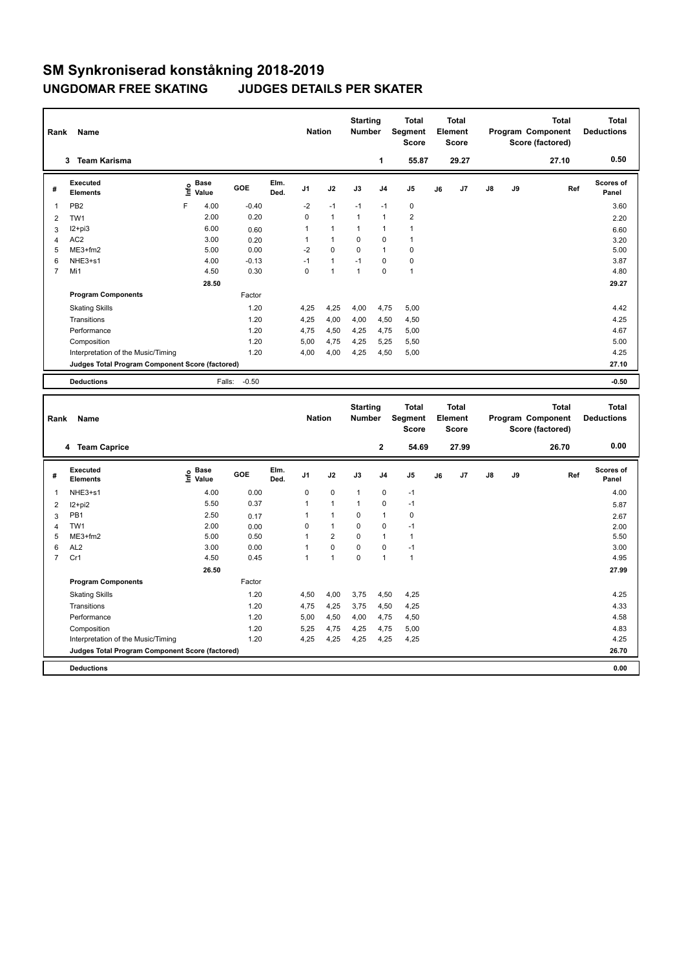## **SM Synkroniserad konståkning 2018-2019 UNGDOMAR FREE SKATING JUDGES DETAILS PER SKATER**

| Rank           | Name                                            |       |                      |              |              | <b>Nation</b>  |                | <b>Starting</b><br><b>Number</b> |                | <b>Total</b><br>Segment<br><b>Score</b> |    | <b>Total</b><br>Element<br><b>Score</b> |               |    | <b>Total</b><br>Program Component<br>Score (factored) | <b>Total</b><br><b>Deductions</b> |
|----------------|-------------------------------------------------|-------|----------------------|--------------|--------------|----------------|----------------|----------------------------------|----------------|-----------------------------------------|----|-----------------------------------------|---------------|----|-------------------------------------------------------|-----------------------------------|
|                | <b>Team Karisma</b><br>3                        |       |                      |              |              |                |                |                                  | 1              | 55.87                                   |    | 29.27                                   |               |    | 27.10                                                 | 0.50                              |
| #              | Executed<br><b>Elements</b>                     | Linfo | <b>Base</b><br>Value | GOE          | Elm.<br>Ded. | J <sub>1</sub> | J2             | J3                               | J <sub>4</sub> | J <sub>5</sub>                          | J6 | J7                                      | $\mathsf{J}8$ | J9 | Ref                                                   | <b>Scores of</b><br>Panel         |
| $\mathbf{1}$   | PB <sub>2</sub>                                 | F     | 4.00                 | $-0.40$      |              | $-2$           | $-1$           | $-1$                             | $-1$           | 0                                       |    |                                         |               |    |                                                       | 3.60                              |
| 2              | TW1                                             |       | 2.00                 | 0.20         |              | $\Omega$       | $\mathbf{1}$   | $\mathbf{1}$                     | $\mathbf{1}$   | $\overline{2}$                          |    |                                         |               |    |                                                       | 2.20                              |
| 3              | $12+pi3$                                        |       | 6.00                 | 0.60         |              | 1              | $\mathbf{1}$   | $\mathbf{1}$                     | $\mathbf 1$    | $\mathbf{1}$                            |    |                                         |               |    |                                                       | 6.60                              |
| 4              | AC <sub>2</sub>                                 |       | 3.00                 | 0.20         |              |                | $\mathbf{1}$   | $\Omega$                         | 0              | $\mathbf{1}$                            |    |                                         |               |    |                                                       | 3.20                              |
| 5              | $ME3+fm2$                                       |       | 5.00                 | 0.00         |              | $-2$           | $\mathbf 0$    | $\mathbf 0$                      | $\mathbf{1}$   | $\pmb{0}$                               |    |                                         |               |    |                                                       | 5.00                              |
| 6              | NHE3+s1                                         |       | 4.00                 | $-0.13$      |              | $-1$           | $\mathbf{1}$   | $-1$                             | $\mathbf 0$    | 0                                       |    |                                         |               |    |                                                       | 3.87                              |
| $\overline{7}$ | Mi1                                             |       | 4.50                 | 0.30         |              | $\Omega$       | $\overline{1}$ | 1                                | 0              | $\overline{1}$                          |    |                                         |               |    |                                                       | 4.80                              |
|                |                                                 |       | 28.50                |              |              |                |                |                                  |                |                                         |    |                                         |               |    |                                                       | 29.27                             |
|                | <b>Program Components</b>                       |       |                      | Factor       |              |                |                |                                  |                |                                         |    |                                         |               |    |                                                       |                                   |
|                | <b>Skating Skills</b>                           |       |                      | 1.20         |              | 4,25           | 4,25           | 4,00                             | 4,75           | 5,00                                    |    |                                         |               |    |                                                       | 4.42                              |
|                | Transitions                                     |       |                      | 1.20         |              | 4,25           | 4,00           | 4,00                             | 4,50           | 4,50                                    |    |                                         |               |    |                                                       | 4.25                              |
|                | Performance                                     |       |                      | 1.20         |              | 4,75           | 4,50           | 4,25                             | 4,75           | 5,00                                    |    |                                         |               |    |                                                       | 4.67                              |
|                | Composition                                     |       |                      | 1.20         |              | 5.00           | 4,75           | 4,25                             | 5,25           | 5,50                                    |    |                                         |               |    |                                                       | 5.00                              |
|                | Interpretation of the Music/Timing              |       |                      | 1.20         |              | 4,00           | 4,00           | 4,25                             | 4,50           | 5,00                                    |    |                                         |               |    |                                                       | 4.25                              |
|                | Judges Total Program Component Score (factored) |       |                      |              |              |                |                |                                  |                |                                         |    |                                         |               |    |                                                       | 27.10                             |
|                | <b>Deductions</b>                               |       |                      | Falls: -0.50 |              |                |                |                                  |                |                                         |    |                                         |               |    |                                                       | $-0.50$                           |
|                |                                                 |       |                      |              |              |                |                |                                  |                |                                         |    |                                         |               |    |                                                       |                                   |

| Rank           | Name                                            |                              |        |              | <b>Nation</b>  |                | <b>Starting</b><br><b>Number</b> |                | <b>Total</b><br>Segment<br>Score |    | <b>Total</b><br>Element<br><b>Score</b> |               |    | <b>Total</b><br>Program Component<br>Score (factored) | <b>Total</b><br><b>Deductions</b> |
|----------------|-------------------------------------------------|------------------------------|--------|--------------|----------------|----------------|----------------------------------|----------------|----------------------------------|----|-----------------------------------------|---------------|----|-------------------------------------------------------|-----------------------------------|
|                | <b>Team Caprice</b><br>4                        |                              |        |              |                |                |                                  | $\mathbf{2}$   | 54.69                            |    | 27.99                                   |               |    | 26.70                                                 | 0.00                              |
| #              | Executed<br><b>Elements</b>                     | <b>Base</b><br>lnfo<br>Value | GOE    | Elm.<br>Ded. | J <sub>1</sub> | J2             | J3                               | J <sub>4</sub> | J <sub>5</sub>                   | J6 | J7                                      | $\mathsf{J}8$ | J9 | Ref                                                   | <b>Scores of</b><br>Panel         |
| 1              | NHE3+s1                                         | 4.00                         | 0.00   |              | 0              | $\mathbf 0$    | $\overline{1}$                   | $\pmb{0}$      | $-1$                             |    |                                         |               |    |                                                       | 4.00                              |
| 2              | I2+pi2                                          | 5.50                         | 0.37   |              | 1              | $\overline{1}$ | $\overline{1}$                   | $\pmb{0}$      | $-1$                             |    |                                         |               |    |                                                       | 5.87                              |
| 3              | PB1                                             | 2.50                         | 0.17   |              |                | $\overline{1}$ | $\Omega$                         | $\mathbf{1}$   | $\mathbf 0$                      |    |                                         |               |    |                                                       | 2.67                              |
| $\overline{4}$ | TW1                                             | 2.00                         | 0.00   |              | 0              | $\mathbf{1}$   | $\mathbf 0$                      | $\mathbf 0$    | $-1$                             |    |                                         |               |    |                                                       | 2.00                              |
| 5              | $ME3+fm2$                                       | 5.00                         | 0.50   |              |                | $\overline{2}$ | $\mathbf 0$                      | $\mathbf{1}$   | $\mathbf{1}$                     |    |                                         |               |    |                                                       | 5.50                              |
| 6              | AL <sub>2</sub>                                 | 3.00                         | 0.00   |              |                | $\mathbf 0$    | $\mathbf 0$                      | $\pmb{0}$      | $-1$                             |    |                                         |               |    |                                                       | 3.00                              |
| $\overline{7}$ | Cr1                                             | 4.50                         | 0.45   |              | 1              | $\overline{1}$ | 0                                | $\overline{1}$ | $\mathbf{1}$                     |    |                                         |               |    |                                                       | 4.95                              |
|                |                                                 | 26.50                        |        |              |                |                |                                  |                |                                  |    |                                         |               |    |                                                       | 27.99                             |
|                | <b>Program Components</b>                       |                              | Factor |              |                |                |                                  |                |                                  |    |                                         |               |    |                                                       |                                   |
|                | <b>Skating Skills</b>                           |                              | 1.20   |              | 4,50           | 4,00           | 3,75                             | 4,50           | 4,25                             |    |                                         |               |    |                                                       | 4.25                              |
|                | Transitions                                     |                              | 1.20   |              | 4,75           | 4,25           | 3,75                             | 4,50           | 4,25                             |    |                                         |               |    |                                                       | 4.33                              |
|                | Performance                                     |                              | 1.20   |              | 5,00           | 4,50           | 4,00                             | 4,75           | 4,50                             |    |                                         |               |    |                                                       | 4.58                              |
|                | Composition                                     |                              | 1.20   |              | 5,25           | 4,75           | 4,25                             | 4,75           | 5,00                             |    |                                         |               |    |                                                       | 4.83                              |
|                | Interpretation of the Music/Timing              |                              | 1.20   |              | 4,25           | 4,25           | 4,25                             | 4,25           | 4,25                             |    |                                         |               |    |                                                       | 4.25                              |
|                | Judges Total Program Component Score (factored) |                              |        |              |                |                |                                  |                |                                  |    |                                         |               |    |                                                       | 26.70                             |
|                | <b>Deductions</b>                               |                              |        |              |                |                |                                  |                |                                  |    |                                         |               |    |                                                       | 0.00                              |